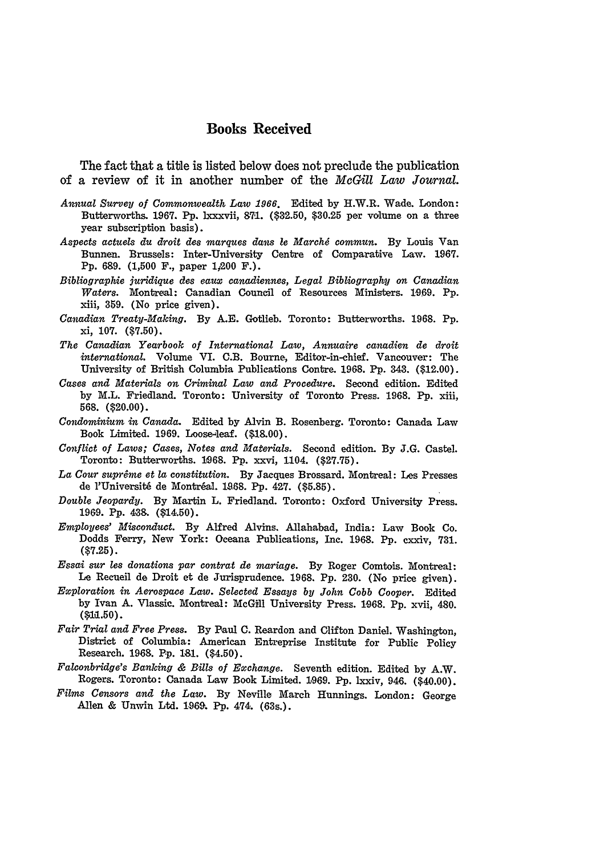## **Books Received**

The fact that a title is listed below does not preclude the publication of a review of it in another number of the *McGill Law Journal.*

- *Annual Survey of Commonwealth Law 1966.* Edited by H.W.R. Wade. London: Butterworths. **1967. Pp.** lxxxvii, **'71.** (\$32.50, **\$30.25** per volume on a three year subscription basis).
- *Aspects actuels du droit des marques dans le Marchd commun.* **By** Louis Van Bunnen. Brussels: Inter-University Centre of Comparative Law. 1967. Pp. 689. (1,500 F., paper 1,200 F.).
- *Bibliographie juridique des eaux canadiennes, Legal Bibliography on Canadian Waters.* Montreal: Canadian Council of Resources Ministers. **19,69. Pp.** .iii, 359. (No price given).
- *Canadian Treaty-Making.* By **A.E.** Gotlieb. Toronto: Butterworths. **1968. Pp.** xi, **107.** (\$7.50).
- *The Canadian Yearbook of International Law, Annuaire canadien de droit international.* Volume VI. C.B. Bourne, Editor-in-chief. Vancouver: The University of British Columbia Publications Contre. 1968. Pp. 343. (\$12.00).
- *Cases and Materials on Criminal Law and Procedure.* Second edition. Edited by M.L. Friedland. Toronto: University of Toronto Press. 1968. **Pp.** xiii, **568.** (\$20.00).
- *Condominium in Canada.* Edited **by** Alvin **B.** Rosenberg. Toronto: Canada Law Book Limited. **1969.** Loose-leaf. **(\$18.00).**
- *Conflict of Laws; Cases, Notes and Materials.* Second edition. **By J.G.** Castel. Toronto: Butterworths. 1968. Pp. xxvi, 1104. (\$27.75).
- *La Cour supreme et la constitution.* By Jacques Brossard. Montreal: Les Presses de l'Université de Montréal. 1968. Pp. 427. (\$5.85).
- *Double Jeopardy.* **By** Martin L. Friedland. Toronto: Oxford University Press. **1969. Pp.** 438. (\$14.50).
- *Employees' Misconduct.* By Alfred Alvins. Allahabad, India: Law Book Co. Dodds Ferry, New York: Oceana Publications, Inc. 1968. **Pp.** cxxiv, 731. **(\$7.25).**
- *Essai sur les donations par contrat de mariage.* **By** Roger Comtois. Montreal: **Le** Recueil **de** Iroit et de Jurisprudence. **1968. Pp.** 230. (No price given).
- *Exploration in Aerospace Law. Selected Essays by John Cobb Cooper.* Edited by Ivan A. Vlassic. Montreal: McGill University Press. 1068. **Pp.** xvii, 480. **(\$1a.50).**
- *Fair Trial and Free Press.* By Paul C. Reardon and Clifton Daniel. Washington, District of Columbia: American Entreprise Institute for Public Policy Research. **1968. Pp. 181.** (\$4.50).
- *Falconbridge's Banking & Bills of Exchange.* Seventh edition. Edited by A.W. Rogers. Toronto: Canada Law Book Limited. 1969. Pp. lxxiv, 946. (\$40.00).
- *Films Censors and the Law.* By Neville March Hunnings. London: George Allen & Unwin Ltd. 1969. Pp. 474. (63s.).